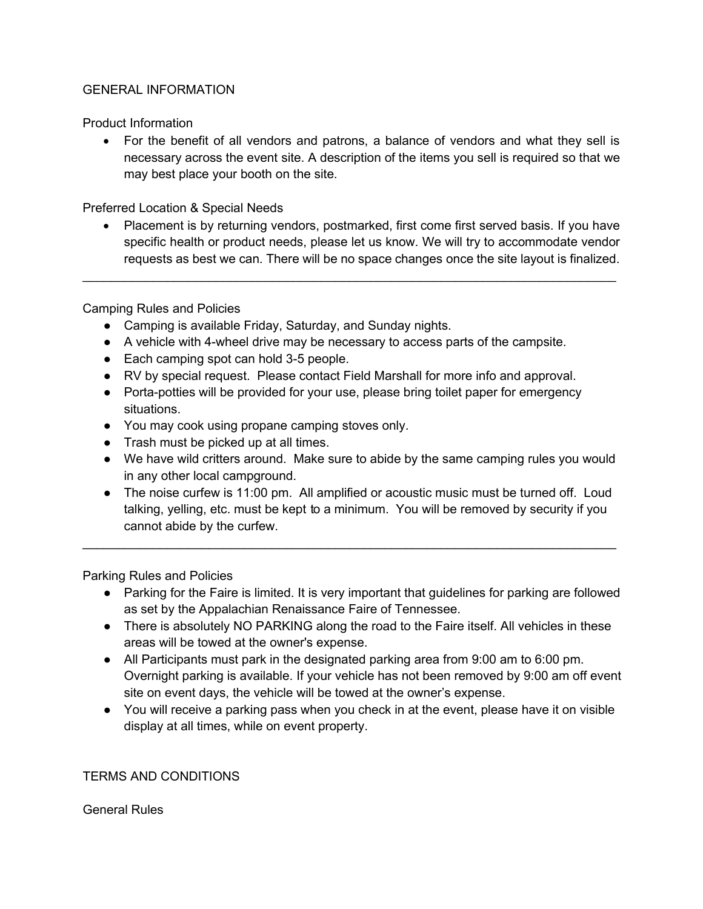### GENERAL INFORMATION

Product Information

• For the benefit of all vendors and patrons, a balance of vendors and what they sell is necessary across the event site. A description of the items you sell is required so that we may best place your booth on the site.

Preferred Location & Special Needs

• Placement is by returning vendors, postmarked, first come first served basis. If you have specific health or product needs, please let us know. We will try to accommodate vendor requests as best we can. There will be no space changes once the site layout is finalized.

 $\mathcal{L} = \{ \mathcal{L} = \{ \mathcal{L} = \mathcal{L} \} \cup \{ \mathcal{L} = \{ \mathcal{L} = \mathcal{L} \} \cup \{ \mathcal{L} = \{ \mathcal{L} = \mathcal{L} \} \cup \{ \mathcal{L} = \{ \mathcal{L} = \mathcal{L} \} \cup \{ \mathcal{L} = \{ \mathcal{L} = \mathcal{L} \} \cup \{ \mathcal{L} = \{ \mathcal{L} = \mathcal{L} \} \cup \{ \mathcal{L} = \{ \mathcal{L} = \mathcal{L} \} \cup \{ \mathcal{L} = \{ \mathcal{L}$ 

Camping Rules and Policies

- Camping is available Friday, Saturday, and Sunday nights.
- A vehicle with 4-wheel drive may be necessary to access parts of the campsite.
- Each camping spot can hold 3-5 people.
- RV by special request. Please contact Field Marshall for more info and approval.
- Porta-potties will be provided for your use, please bring toilet paper for emergency situations.
- You may cook using propane camping stoves only.
- Trash must be picked up at all times.
- We have wild critters around. Make sure to abide by the same camping rules you would in any other local campground.
- The noise curfew is 11:00 pm. All amplified or acoustic music must be turned off. Loud talking, yelling, etc. must be kept to a minimum. You will be removed by security if you cannot abide by the curfew.

 $\mathcal{L}_\text{max} = \frac{1}{2} \sum_{i=1}^{n} \frac{1}{2} \sum_{i=1}^{n} \frac{1}{2} \sum_{i=1}^{n} \frac{1}{2} \sum_{i=1}^{n} \frac{1}{2} \sum_{i=1}^{n} \frac{1}{2} \sum_{i=1}^{n} \frac{1}{2} \sum_{i=1}^{n} \frac{1}{2} \sum_{i=1}^{n} \frac{1}{2} \sum_{i=1}^{n} \frac{1}{2} \sum_{i=1}^{n} \frac{1}{2} \sum_{i=1}^{n} \frac{1}{2} \sum_{i=1}^{n} \frac{1$ 

Parking Rules and Policies

- Parking for the Faire is limited. It is very important that guidelines for parking are followed as set by the Appalachian Renaissance Faire of Tennessee.
- There is absolutely NO PARKING along the road to the Faire itself. All vehicles in these areas will be towed at the owner's expense.
- All Participants must park in the designated parking area from 9:00 am to 6:00 pm. Overnight parking is available. If your vehicle has not been removed by 9:00 am off event site on event days, the vehicle will be towed at the owner's expense.
- You will receive a parking pass when you check in at the event, please have it on visible display at all times, while on event property.

TERMS AND CONDITIONS

General Rules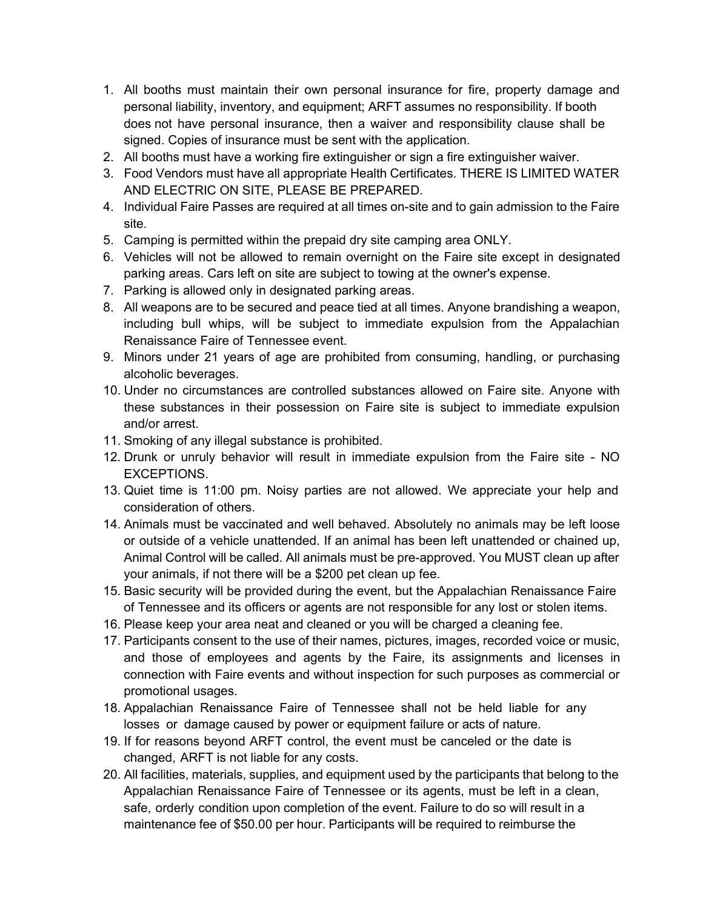- 1. All booths must maintain their own personal insurance for fire, property damage and personal liability, inventory, and equipment; ARFT assumes no responsibility. If booth does not have personal insurance, then a waiver and responsibility clause shall be signed. Copies of insurance must be sent with the application.
- 2. All booths must have a working fire extinguisher or sign a fire extinguisher waiver.
- 3. Food Vendors must have all appropriate Health Certificates. THERE IS LIMITED WATER AND ELECTRIC ON SITE, PLEASE BE PREPARED.
- 4. Individual Faire Passes are required at all times on-site and to gain admission to the Faire site.
- 5. Camping is permitted within the prepaid dry site camping area ONLY.
- 6. Vehicles will not be allowed to remain overnight on the Faire site except in designated parking areas. Cars left on site are subject to towing at the owner's expense.
- 7. Parking is allowed only in designated parking areas.
- 8. All weapons are to be secured and peace tied at all times. Anyone brandishing a weapon, including bull whips, will be subject to immediate expulsion from the Appalachian Renaissance Faire of Tennessee event.
- 9. Minors under 21 years of age are prohibited from consuming, handling, or purchasing alcoholic beverages.
- 10. Under no circumstances are controlled substances allowed on Faire site. Anyone with these substances in their possession on Faire site is subject to immediate expulsion and/or arrest.
- 11. Smoking of any illegal substance is prohibited.
- 12. Drunk or unruly behavior will result in immediate expulsion from the Faire site NO EXCEPTIONS.
- 13. Quiet time is 11:00 pm. Noisy parties are not allowed. We appreciate your help and consideration of others.
- 14. Animals must be vaccinated and well behaved. Absolutely no animals may be left loose or outside of a vehicle unattended. If an animal has been left unattended or chained up, Animal Control will be called. All animals must be pre-approved. You MUST clean up after your animals, if not there will be a \$200 pet clean up fee.
- 15. Basic security will be provided during the event, but the Appalachian Renaissance Faire of Tennessee and its officers or agents are not responsible for any lost or stolen items.
- 16. Please keep your area neat and cleaned or you will be charged a cleaning fee.
- 17. Participants consent to the use of their names, pictures, images, recorded voice or music, and those of employees and agents by the Faire, its assignments and licenses in connection with Faire events and without inspection for such purposes as commercial or promotional usages.
- 18. Appalachian Renaissance Faire of Tennessee shall not be held liable for any losses or damage caused by power or equipment failure or acts of nature.
- 19. If for reasons beyond ARFT control, the event must be canceled or the date is changed, ARFT is not liable for any costs.
- 20. All facilities, materials, supplies, and equipment used by the participants that belong to the Appalachian Renaissance Faire of Tennessee or its agents, must be left in a clean, safe, orderly condition upon completion of the event. Failure to do so will result in a maintenance fee of \$50.00 per hour. Participants will be required to reimburse the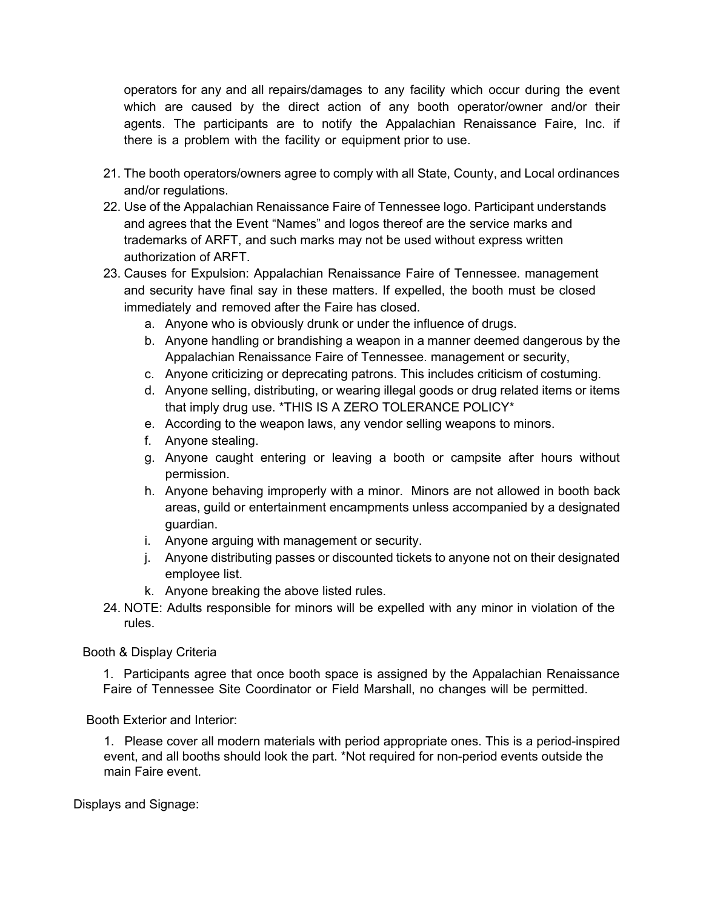operators for any and all repairs/damages to any facility which occur during the event which are caused by the direct action of any booth operator/owner and/or their agents. The participants are to notify the Appalachian Renaissance Faire, Inc. if there is a problem with the facility or equipment prior to use.

- 21. The booth operators/owners agree to comply with all State, County, and Local ordinances and/or regulations.
- 22. Use of the Appalachian Renaissance Faire of Tennessee logo. Participant understands and agrees that the Event "Names" and logos thereof are the service marks and trademarks of ARFT, and such marks may not be used without express written authorization of ARFT.
- 23. Causes for Expulsion: Appalachian Renaissance Faire of Tennessee. management and security have final say in these matters. If expelled, the booth must be closed immediately and removed after the Faire has closed.
	- a. Anyone who is obviously drunk or under the influence of drugs.
	- b. Anyone handling or brandishing a weapon in a manner deemed dangerous by the Appalachian Renaissance Faire of Tennessee. management or security,
	- c. Anyone criticizing or deprecating patrons. This includes criticism of costuming.
	- d. Anyone selling, distributing, or wearing illegal goods or drug related items or items that imply drug use. \*THIS IS A ZERO TOLERANCE POLICY\*
	- e. According to the weapon laws, any vendor selling weapons to minors.
	- f. Anyone stealing.
	- g. Anyone caught entering or leaving a booth or campsite after hours without permission.
	- h. Anyone behaving improperly with a minor. Minors are not allowed in booth back areas, guild or entertainment encampments unless accompanied by a designated guardian.
	- i. Anyone arguing with management or security.
	- j. Anyone distributing passes or discounted tickets to anyone not on their designated employee list.
	- k. Anyone breaking the above listed rules.
- 24. NOTE: Adults responsible for minors will be expelled with any minor in violation of the rules.

Booth & Display Criteria

1. Participants agree that once booth space is assigned by the Appalachian Renaissance Faire of Tennessee Site Coordinator or Field Marshall, no changes will be permitted.

Booth Exterior and Interior:

1. Please cover all modern materials with period appropriate ones. This is a period-inspired event, and all booths should look the part. \*Not required for non-period events outside the main Faire event.

Displays and Signage: